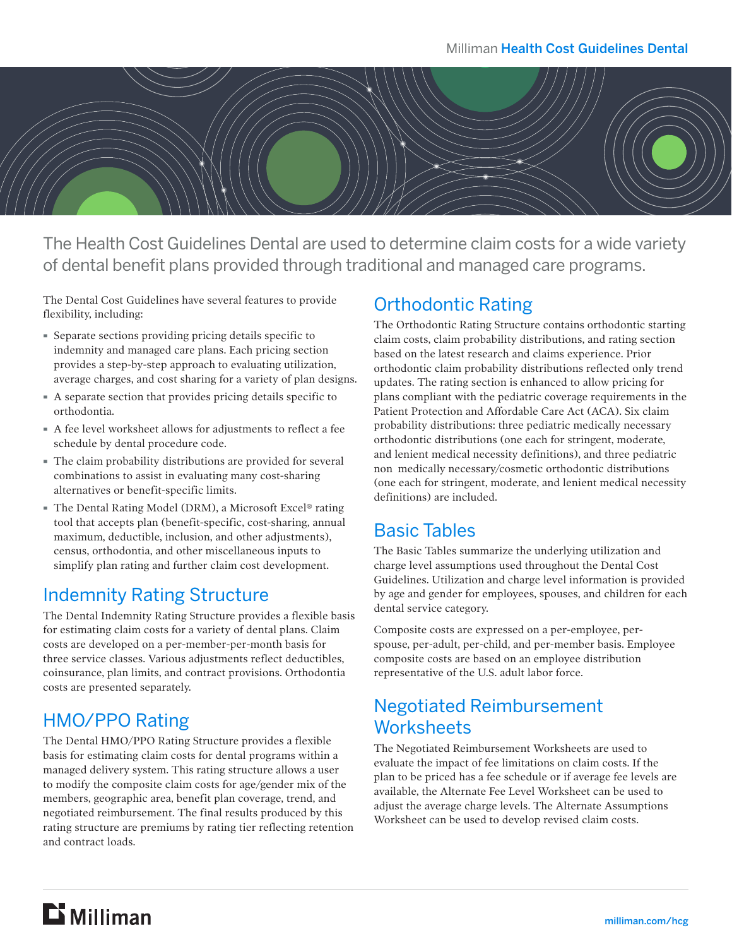

The Health Cost Guidelines Dental are used to determine claim costs for a wide variety of dental benefit plans provided through traditional and managed care programs.

The Dental Cost Guidelines have several features to provide flexibility, including:

- · Separate sections providing pricing details specific to indemnity and managed care plans. Each pricing section provides a step-by-step approach to evaluating utilization, average charges, and cost sharing for a variety of plan designs.
- · A separate section that provides pricing details specific to orthodontia.
- · A fee level worksheet allows for adjustments to reflect a fee schedule by dental procedure code.
- · The claim probability distributions are provided for several combinations to assist in evaluating many cost-sharing alternatives or benefit-specific limits.
- · The Dental Rating Model (DRM), a Microsoft Excel® rating tool that accepts plan (benefit-specific, cost-sharing, annual maximum, deductible, inclusion, and other adjustments), census, orthodontia, and other miscellaneous inputs to simplify plan rating and further claim cost development.

### Indemnity Rating Structure

The Dental Indemnity Rating Structure provides a flexible basis for estimating claim costs for a variety of dental plans. Claim costs are developed on a per-member-per-month basis for three service classes. Various adjustments reflect deductibles, coinsurance, plan limits, and contract provisions. Orthodontia costs are presented separately.

### HMO/PPO Rating

The Dental HMO/PPO Rating Structure provides a flexible basis for estimating claim costs for dental programs within a managed delivery system. This rating structure allows a user to modify the composite claim costs for age/gender mix of the members, geographic area, benefit plan coverage, trend, and negotiated reimbursement. The final results produced by this rating structure are premiums by rating tier reflecting retention and contract loads.

### Orthodontic Rating

The Orthodontic Rating Structure contains orthodontic starting claim costs, claim probability distributions, and rating section based on the latest research and claims experience. Prior orthodontic claim probability distributions reflected only trend updates. The rating section is enhanced to allow pricing for plans compliant with the pediatric coverage requirements in the Patient Protection and Affordable Care Act (ACA). Six claim probability distributions: three pediatric medically necessary orthodontic distributions (one each for stringent, moderate, and lenient medical necessity definitions), and three pediatric non medically necessary/cosmetic orthodontic distributions (one each for stringent, moderate, and lenient medical necessity definitions) are included.

#### Basic Tables

The Basic Tables summarize the underlying utilization and charge level assumptions used throughout the Dental Cost Guidelines. Utilization and charge level information is provided by age and gender for employees, spouses, and children for each dental service category.

Composite costs are expressed on a per-employee, perspouse, per-adult, per-child, and per-member basis. Employee composite costs are based on an employee distribution representative of the U.S. adult labor force.

### Negotiated Reimbursement **Worksheets**

The Negotiated Reimbursement Worksheets are used to evaluate the impact of fee limitations on claim costs. If the plan to be priced has a fee schedule or if average fee levels are available, the Alternate Fee Level Worksheet can be used to adjust the average charge levels. The Alternate Assumptions Worksheet can be used to develop revised claim costs.